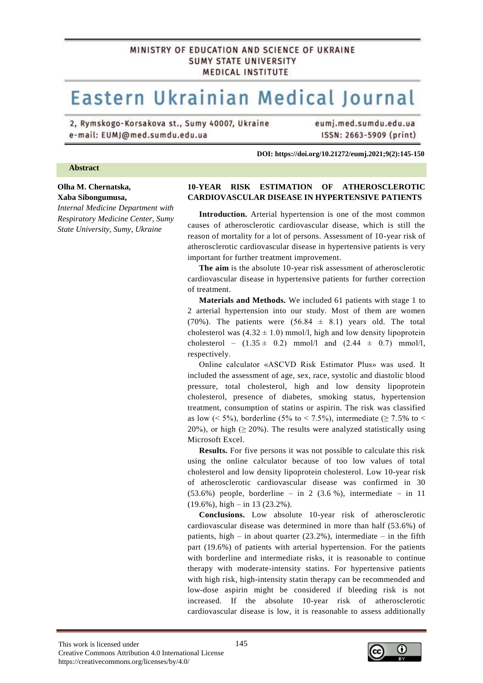# MINISTRY OF EDUCATION AND SCIENCE OF UKRAINE **SUMY STATE UNIVERSITY MEDICAL INSTITUTE**

# Eastern Ukrainian Medical Journal

2, Rymskogo-Korsakova st., Sumy 40007, Ukraine e-mail: EUMJ@med.sumdu.edu.ua

eumj.med.sumdu.edu.ua ISSN: 2663-5909 (print)

**DOI: https://doi.org/10.21272/eumj.2021;9(2):145-150**

#### **Abstract**

# **Olha M. Chernatska, Xaba Sibongumusa,**

*Internal Medicine Department with Respiratory Medicine Center, Sumy State University, Sumy, Ukraine*

### **10-YEAR RISK ESTIMATION OF ATHEROSCLEROTIC CARDIOVASCULAR DISEASE IN HYPERTENSIVE PATIENTS.**

**Introduction.** Arterial hypertension is one of the most common causes of atherosclerotic cardiovascular disease, which is still the reason of mortality for a lot of persons. Assessment of 10-year risk of atherosclerotic cardiovascular disease in hypertensive patients is very important for further treatment improvement.

**The aim** is the absolute 10-year risk assessment of atherosclerotic cardiovascular disease in hypertensive patients for further correction of treatment.

**Materials and Methods.** We included 61 patients with stage 1 to 2 arterial hypertension into our study. Most of them are women (70%). The patients were  $(56.84 \pm 8.1)$  years old. The total cholesterol was  $(4.32 \pm 1.0)$  mmol/l, high and low density lipoprotein cholesterol –  $(1.35 \pm 0.2)$  mmol/l and  $(2.44 \pm 0.7)$  mmol/l, respectively.

Online calculator «ASCVD Risk Estimator Plus» was used. It included the assessment of age, sex, race, systolic and diastolic blood pressure, total cholesterol, high and low density lipoprotein cholesterol, presence of diabetes, smoking status, hypertension treatment, consumption of statins or aspirin. The risk was classified as low (< 5%), borderline (5% to < 7.5%), intermediate ( $\geq$  7.5% to < 20%), or high ( $\geq$  20%). The results were analyzed statistically using Microsoft Excel.

**Results.** For five persons it was not possible to calculate this risk using the online calculator because of too low values of total cholesterol and low density lipoprotein cholesterol. Low 10-year risk of atherosclerotic cardiovascular disease was confirmed in 30  $(53.6\%)$  people, borderline – in 2  $(3.6\%)$ , intermediate – in 11 (19.6%), high – in 13 (23.2%).

**Conclusions.** Low absolute 10-year risk of atherosclerotic cardiovascular disease was determined in more than half (53.6%) of patients, high – in about quarter  $(23.2\%)$ , intermediate – in the fifth part (19.6%) of patients with arterial hypertension. For the patients with borderline and intermediate risks, it is reasonable to continue therapy with moderate-intensity statins. For hypertensive patients with high risk, high-intensity statin therapy can be recommended and low-dose aspirin might be considered if bleeding risk is not increased. If the absolute 10-year risk of atherosclerotic cardiovascular disease is low, it is reasonable to assess additionally

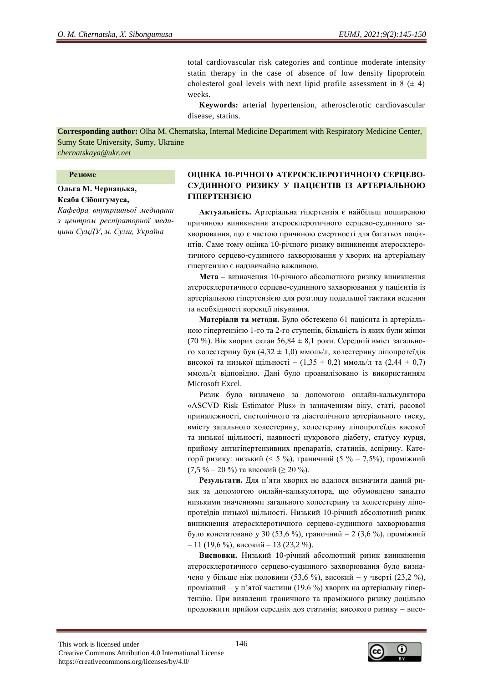total cardiovascular risk categories and continue moderate intensity statin therapy in the case of absence of low density lipoprotein cholesterol goal levels with next lipid profile assessment in  $8 (\pm 4)$ weeks.

**Keywords:** arterial hypertension, atherosclerotic cardiovascular disease, statins.–

**Corresponding author:** Olha M. Chernatska, Internal Medicine Department with Respiratory Medicine Center, Sumy State University, Sumy, Ukraine

*chernatskaya@ukr.net*

#### **Резюме**

# **Ольга М. Чернацька, Ксаба Сібонгумуса,**

*Кафедра внутрішньої медицини з центром респіраторної медицини СумДУ, м. Суми, Україна* 

# **ОЦІНКА 10-РІЧНОГО АТЕРОСКЛЕРОТИЧНОГО СЕРЦЕВО-СУДИННОГО РИЗИКУ У ПАЦІЄНТІВ ІЗ АРТЕРІАЛЬНОЮ ГІПЕРТЕНЗІЄЮ.**

**Актуальність.** Артеріальна гіпертензія є найбільш поширеною причиною виникнення атеросклеротичного серцево-судинного захворювання, що є частою причиною смертності для багатьох пацієнтів. Саме тому оцінка 10-річного ризику виникнення атеросклеротичного серцево-судинного захворювання у хворих на артеріальну гіпертензію є надзвичайно важливою.

**Мета –** визначення 10-річного абсолютного ризику виникнення атеросклеротичного серцево-судинного захворювання у пацієнтів із артеріальною гіпертензією для розгляду подальшої тактики ведення та необхідності корекції лікування.

**Матеріали та методи.** Було обстежено 61 пацієнта із артеріальною гіпертензією 1-го та 2-го ступенів, більшість із яких були жінки (70 %). Вік хворих склав 56,84 ± 8,1 роки. Середній вміст загального холестерину був (4,32 ± 1,0) ммоль/л, холестерину ліпопротеїдів високої та низької щільності –  $(1,35 \pm 0,2)$  ммоль/л та  $(2,44 \pm 0,7)$ ммоль/л відповідно. Дані було проаналізовано із використанням Microsoft Excel.

Ризик було визначено за допомогою онлайн-калькулятора «ASCVD Risk Estimator Plus» із зазначенням віку, статі, расової приналежності, систолічного та діастолічного артеріального тиску, вмісту загального холестерину, холестерину ліпопротеїдів високої та низької щільності, наявності цукрового діабету, статусу курця, прийому антигіпертензивних препаратів, статинів, аспірину. Категорії ризику: низький (< 5 %), граничний (5 % – 7,5%), проміжний (7,5 % – 20 %) та високий ( $\geq 20$  %).

**Результати.** Для п'яти хворих не вдалося визначити даний ризик за допомогою онлайн-калькулятора, що обумовлено занадто низькими значеннями загального холестерину та холестерину ліпопротеїдів низької щільності. Низький 10-річний абсолютний ризик виникнення атеросклеротичного серцево-судинного захворювання було констатовано у 30 (53,6 %), граничний – 2 (3,6 %), проміжний – 11 (19,6 %), високий – 13 (23,2 %).

**Висновки.** Hизький 10-річний абсолютний ризик виникнення атеросклеротичного серцево-судинного захворювання було визначено у більше ніж половини (53,6 %), високий – у чверті (23,2 %), проміжний – у п'ятої частини (19,6 %) хворих на артеріальну гіпертензію. При виявленні граничного та проміжного ризику доцільно продовжити прийом середніх доз статинів; високого ризику – висо-

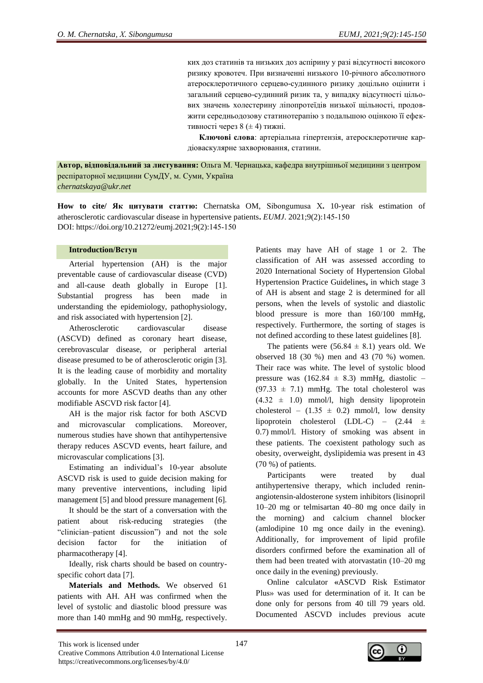ких доз статинів та низьких доз аспірину у разі відсутності високого ризику кровотеч. При визначенні низького 10-річного абсолютного атеросклеротичного серцево-судинного ризику доцільно оцінити і загальний серцево-судинний ризик та, у випадку відсутності цільових значень холестерину ліпопротеїдів низької щільності, продовжити середньодозову статинотерапію з подальшою оцінкою її ефективності через 8 (± 4) тижні.

**Ключові слова**: артеріальна гіпертензія, атеросклеротичне кардіоваскулярне захворювання, статини.

**Автор, відповідальний за листування:** Ольга М. Чернацька, кафедра внутрішньої медицини з центром респіраторної медицини СумДУ, м. Суми, Україна *chernatskaya@ukr.net*

**How to сite/ Як цитувати статтю:** Chernatska OM, Sibongumusa Х**.** 10-year risk estimation of atherosclerotic cardiovascular disease in hypertensive patients**.** *EUMJ*. 2021;9(2):145-150 DOI: https://doi.org/10.21272/eumj.2021;9(2):145-150

#### **Introduction/Вступ**

Arterial hypertension (AH) is the major preventable cause of cardiovascular disease (CVD) and all-cause death globally in Europe [1]. Substantial progress has been made in understanding the epidemiology, pathophysiology, and risk associated with hypertension [2].

Atherosclerotic cardiovascular disease (ASCVD) defined as coronary heart disease, cerebrovascular disease, or peripheral arterial disease presumed to be of atherosclerotic origin [3]. It is the leading cause of morbidity and mortality globally. In the United States, hypertension accounts for more ASCVD deaths than any other modifiable ASCVD risk factor [4].

AH is the major risk factor for both ASCVD and microvascular complications. Moreover, numerous studies have shown that antihypertensive therapy reduces ASCVD events, heart failure, and microvascular complications [3].

Еstimating an individual's 10-year absolute ASCVD risk is used to guide decision making for many preventive interventions, including lipid management [5] and blood pressure management [6].

It should be the start of a conversation with the patient about risk-reducing strategies (the "clinician–patient discussion") and not the sole decision factor for the initiation of pharmacotherapy [4].

Ideally, risk charts should be based on countryspecific cohort data [7].

**Materials and Methods.** We observed 61 patients with AH. AH was confirmed when the level of systolic and diastolic blood pressure was more than 140 mmHg and 90 mmHg, respectively. Patients may have AH of stage 1 or 2. The classification of AH was assessed according to 2020 International Society of Hypertension Global Hypertension Practice Guidelines**,** in which stage 3 of AH is absent and stage 2 is determined for all persons, when the levels of systolic and diastolic blood pressure is more than 160/100 mmHg, respectively. Furthermore, the sorting of stages is not defined according to these latest guidelines [8].

The patients were  $(56.84 \pm 8.1)$  years old. We observed 18 (30 %) men and 43 (70 %) women. Their race was white. The level of systolic blood pressure was  $(162.84 \pm 8.3)$  mmHg, diastolic –  $(97.33 \pm 7.1)$  mmHg. The total cholesterol was  $(4.32 \pm 1.0)$  mmol/l, high density lipoprotein cholesterol –  $(1.35 \pm 0.2)$  mmol/l, low density lipoprotein cholesterol (LDL-C) – (2.44 ± 0.7) mmol/l. History of smoking was absent in these patients. The coexistent pathology such as obesity, overweight, dyslipidemia was present in 43 (70 %) of patients.

Participants were treated by dual antihypertensive therapy, which included reninangiotensin-aldosterone system inhibitors (lisinopril 10–20 mg or telmisartan 40–80 mg once daily in the morning) and calcium channel blocker (amlodipine 10 mg once daily in the evening). Additionally, for improvement of lipid profile disorders confirmed before the examination all of them had been treated with atorvastatin (10–20 mg once daily in the evening) previously.

Online calculator **«**ASCVD Risk Estimator Plus» was used for determination of it. It can be done only for persons from 40 till 79 years old. Documented ASCVD includes previous acute

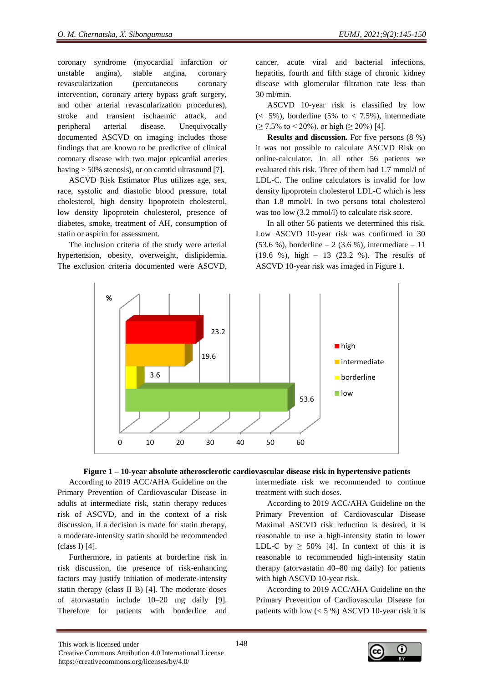coronary syndrome (myocardial infarction or unstable angina), stable angina, coronary revascularization (percutaneous coronary intervention, coronary artery bypass graft surgery, and other arterial revascularization procedures), stroke and transient ischaemic attack, and peripheral arterial disease. Unequivocally documented ASCVD on imaging includes those findings that are known to be predictive of clinical coronary disease with two major epicardial arteries having > 50% stenosis), or on carotid ultrasound [7].

ASCVD Risk Estimator Plus utilizes age, sex, race, systolic and diastolic blood pressure, total cholesterol, high density lipoprotein cholesterol, low density lipoprotein cholesterol, presence of diabetes, smoke, treatment of AH, consumption of statin or aspirin for assessment.

The inclusion criteria of the study were arterial hypertension, obesity, overweight, dislipidemia. The exclusion criteria documented were ASCVD, cancer, acute viral and bacterial infections, hepatitis, fourth and fifth stage of chronic kidney disease with glomerular filtration rate less than 30 ml/min.

ASCVD 10-year risk is classified by low  $\approx$  5%), borderline (5% to  $\lt$  7.5%), intermediate  $(\geq 7.5\% \text{ to } 5.20\%), \text{ or high } (\geq 20\%)$  [4].

**Results and discussion.** For five persons (8 %) it was not possible to calculate ASCVD Risk on online-calculator. In all other 56 patients we evaluated this risk. Three of them had 1.7 mmol/l of LDL-C. The online calculators is invalid for low density lipoprotein cholesterol LDL-C which is less than 1.8 mmol/l. In two persons total cholesterol was too low (3.2 mmol/l) to calculate risk score.

In all other 56 patients we determined this risk. Low ASCVD 10-year risk was confirmed in 30  $(53.6 %)$ , borderline – 2  $(3.6 %)$ , intermediate – 11 (19.6 %), high – 13 (23.2 %). The results of ASCVD 10-year risk was imaged in Figure 1.





According to 2019 ACC/AHA Guideline on the Primary Prevention of Cardiovascular Disease in adults at intermediate risk, statin therapy reduces risk of ASCVD, and in the context of a risk discussion, if a decision is made for statin therapy, a moderate-intensity statin should be recommended (class I) [4].

Furthermore, in patients at borderline risk in risk discussion, the presence of risk-enhancing factors may justify initiation of moderate-intensity statin therapy (class II B) [4]. The moderate doses of atorvastatin include 10–20 mg daily [9]. Therefore for patients with borderline and

intermediate risk we recommended to continue treatment with such doses.

According to 2019 ACC/AHA Guideline on the Primary Prevention of Cardiovascular Disease Maximal ASCVD risk reduction is desired, it is reasonable to use a high-intensity statin to lower LDL-C by  $\geq 50\%$  [4]. In context of this it is reasonable to recommended high-intensity statin therapy (atorvastatin 40–80 mg daily) for patients with high ASCVD 10-year risk.

According to 2019 ACC/AHA Guideline on the Primary Prevention of Cardiovascular Disease for patients with low  $(< 5 %)$  ASCVD 10-year risk it is

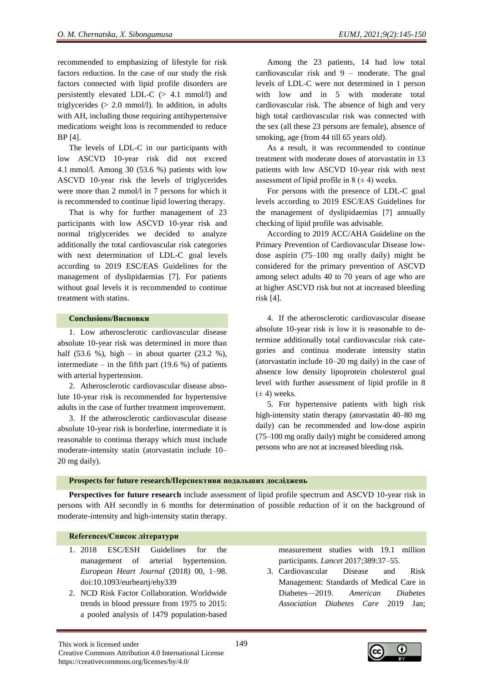recommended to emphasizing of lifestyle for risk factors reduction. In the case of our study the risk factors connected with lipid profile disorders are persistently elevated LDL-C  $(> 4.1 \text{ mmol/l})$  and triglycerides  $(> 2.0 \text{ mmol/l})$ . In addition, in adults with AH, including those requiring antihypertensive medications weight loss is recommended to reduce BP [4].

The levels of LDL-C in our participants with low ASCVD 10-year risk did not exceed 4.1 mmol/l. Among 30 (53.6 %) patients with low ASCVD 10-year risk the levels of triglycerides were more than 2 mmol/l in 7 persons for which it is recommended to continue lipid lowering therapy.

That is why for further management of 23 participants with low ASCVD 10-year risk and normal triglycerides we decided to analyze additionally the total cardiovascular risk categories with next determination of LDL-C goal levels according to 2019 ESC/EAS Guidelines for the management of dyslipidaemias [7]. For patients without goal levels it is recommended to continue treatment with statins.

## **Conclusions/Висновки**

1. Low atherosclerotic cardiovascular disease absolute 10-year risk was determined in more than half  $(53.6 \%)$ , high – in about quarter  $(23.2 \%)$ , intermediate – in the fifth part  $(19.6 %)$  of patients with arterial hypertension.

2. Atherosclerotic cardiovascular disease absolute 10-year risk is recommended for hypertensive adults in the case of further treatment improvement.

3. If the atherosclerotic cardiovascular disease absolute 10-year risk is borderline, intermediate it is reasonable to continua therapy which must include moderate-intensity statin (atorvastatin include 10– 20 mg daily).

Among the 23 patients, 14 had low total cardiovascular risk and 9 – moderate. The goal levels of LDL-C were not determined in 1 person with low and in 5 with moderate total cardiovascular risk. The absence of high and very high total cardiovascular risk was connected with the sex (all these 23 persons are female), absence of smoking, age (from 44 till 65 years old).

As a result, it was recommended to continue treatment with moderate doses of atorvastatin in 13 patients with low ASCVD 10-year risk with next assessment of lipid profile in  $8 (\pm 4)$  weeks.

For persons with the presence of LDL-C goal levels according to 2019 ESC/EAS Guidelines for the management of dyslipidaemias [7] annually checking of lipid profile was advisable.

According to 2019 ACC/AHA Guideline on the Primary Prevention of Cardiovascular Disease lowdose aspirin (75–100 mg orally daily) might be considered for the primary prevention of ASCVD among select adults 40 to 70 years of age who are at higher ASCVD risk but not at increased bleeding risk [4].

4. If the atherosclerotic cardiovascular disease absolute 10-year risk is low it is reasonable to determine additionally total cardiovascular risk categories and continua moderate intensity statin (atorvastatin include 10–20 mg daily) in the case of absence low density lipoprotein cholesterol goal level with further assessment of lipid profile in 8  $(\pm 4)$  weeks.

5. For hypertensive patients with high risk high-intensity statin therapy (atorvastatin 40–80 mg daily) can be recommended and low-dose aspirin (75–100 mg orally daily) might be considered among persons who are not at increased bleeding risk.

#### **Prospects for future research/Перспективи подальших досліджень**

**Perspectives for future research** include assessment of lipid profile spectrum and ASCVD 10-year risk in persons with AH secondly in 6 months for determination of possible reduction of it on the background of moderate-intensity and high-intensity statin therapy.

## **References/Список літератури**

- 1. 2018 ESC/ESH Guidelines for the management of arterial hypertension. *European Heart Journal* (2018) 00, 1–98. doi:10.1093/eurheartj/ehy339
- 2. NCD Risk Factor Collaboration. Worldwide trends in blood pressure from 1975 to 2015: a pooled analysis of 1479 population-based

measurement studies with 19.1 million participants. *Lancet* 2017;389:37–55.

3. Cardiovascular Disease and Risk Management: Standards of Medical Care in Diabetes—2019. *American Diabetes Association Diabetes Care* 2019 Jan;